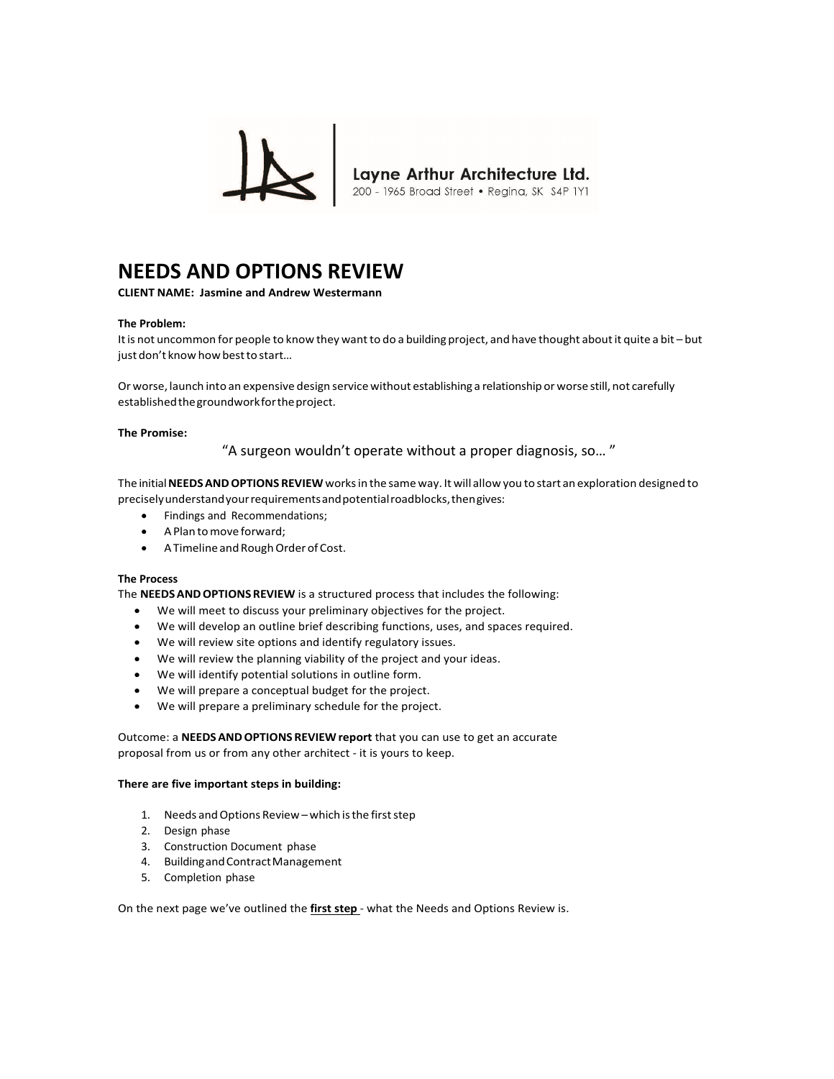

# **NEEDS AND OPTIONS REVIEW**

**CLIENT NAME: Jasmine and Andrew Westermann**

### **The Problem:**

It is not uncommon for people to know they want to do a building project, and have thought about it quite a bit – but just don't know how best to start…

Or worse, launch into an expensive design service without establishing a relationship or worse still, not carefully established the groundwork for the project.

#### **The Promise:**

"A surgeon wouldn't operate without a proper diagnosis, so… "

The initial **NEEDS AND OPTIONS REVIEW** works in the same way. It will allow you to start an exploration designed to precisely understand your requirements and potential roadblocks, then gives:

- Findings and Recommendations;
- A Plan to move forward;
- A Timeline and Rough Order of Cost.

### **The Process**

The **NEEDS AND OPTIONS REVIEW** is a structured process that includes the following:

- We will meet to discuss your preliminary objectives for the project.
- We will develop an outline brief describing functions, uses, and spaces required.
- We will review site options and identify regulatory issues.
- We will review the planning viability of the project and your ideas.
- We will identify potential solutions in outline form.
- We will prepare a conceptual budget for the project.
- We will prepare a preliminary schedule for the project.

Outcome: a **NEEDS AND OPTIONS REVIEW report** that you can use to get an accurate proposal from us or from any other architect ‐ it is yours to keep.

#### **There are five important steps in building:**

- 1. Needs and Options Review which is the first step
- 2. Design phase
- 3. Construction Document phase
- 4. Building and Contract Management
- 5. Completion phase

On the next page we've outlined the first step - what the Needs and Options Review is.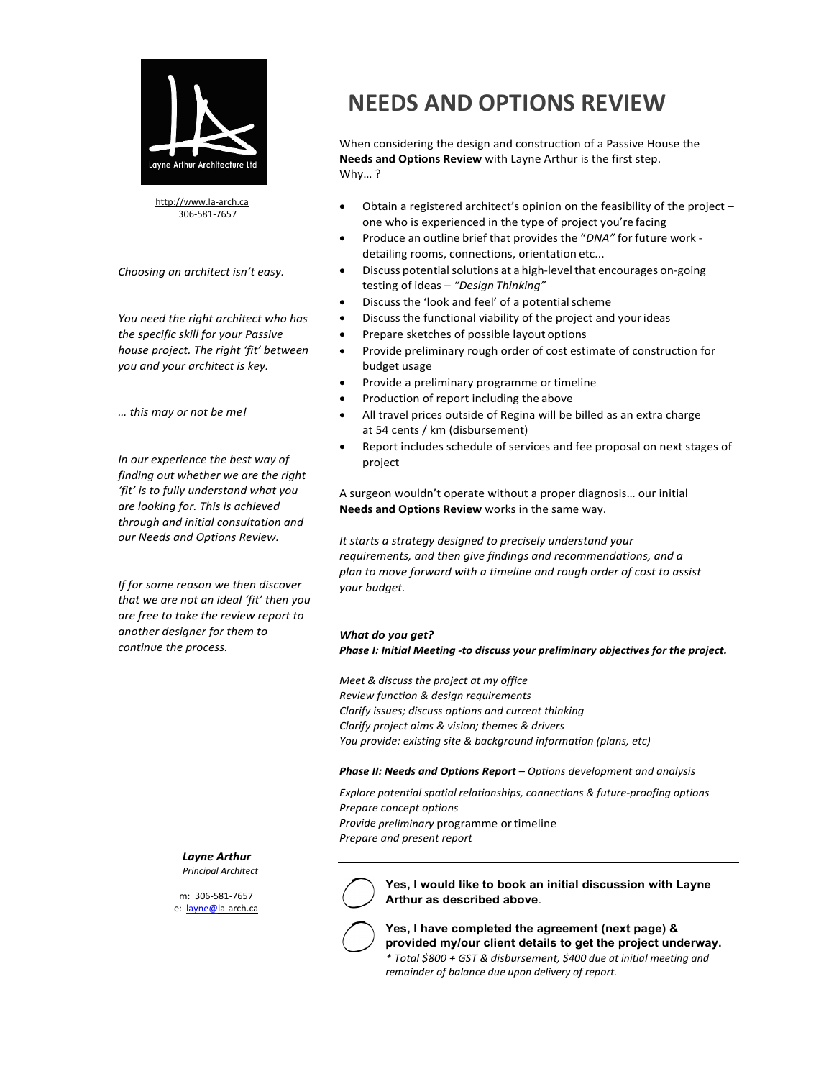

http://www.la‐arch.ca 306‐581‐7657

*Choosing an architect isn't easy.*

*You need the right architect who has the specific skill for your Passive house project. The right 'fit' between you and your architect is key.*

*… this may or not be me!*

*In our experience the best way of finding out whether we are the right 'fit' is to fully understand what you are looking for. This is achieved through and initial consultation and our Needs and Options Review.*

*If for some reason we then discover that we are not an ideal 'fit' then you are free to take the review report to another designer for them to continue the process.*

# **NEEDS AND OPTIONS REVIEW**

When considering the design and construction of a Passive House the **Needs and Options Review** with Layne Arthur is the first step. Why… ?

- Obtain a registered architect's opinion on the feasibility of the project one who is experienced in the type of project you're facing
- Produce an outline brief that provides the "*DNA"* for future work ‐ detailing rooms, connections, orientation etc...
- Discuss potential solutions at a high‐level that encourages on‐going testing of ideas – *"Design Thinking"*
- Discuss the 'look and feel' of a potential scheme
- Discuss the functional viability of the project and your ideas
- Prepare sketches of possible layout options
- Provide preliminary rough order of cost estimate of construction for budget usage
- Provide a preliminary programme or timeline
- Production of report including the above
- All travel prices outside of Regina will be billed as an extra charge at 54 cents / km (disbursement)
- Report includes schedule of services and fee proposal on next stages of project

A surgeon wouldn't operate without a proper diagnosis… our initial **Needs and Options Review** works in the same way.

*It starts a strategy designed to precisely understand your requirements, and then give findings and recommendations, and a plan to move forward with a timeline and rough order of cost to assist your budget.*

## *What do you get?*

*Phase I: Initial Meeting ‐to discuss your preliminary objectives for the project.* 

*Meet & discuss the project at my office Review function & design requirements Clarify issues; discuss options and current thinking Clarify project aims & vision; themes & drivers You provide: existing site & background information (plans, etc)*

*Phase II: Needs and Options Report – Options development and analysis* 

*Explore potential spatial relationships, connections & future‐proofing options Prepare concept options* 

*Provide preliminary* programme or timeline *Prepare and present report*

*Layne Arthur Principal Architect*

m: 306‐581‐7657 e: layne@la-arch.ca **Yes, I would like to book an initial discussion with Layne Arthur as described above**.



**Yes, I have completed the agreement (next page) & provided my/our client details to get the project underway.** *\* Total \$800 + GST & disbursement, \$400 due at initial meeting and remainder of balance due upon delivery of report.*